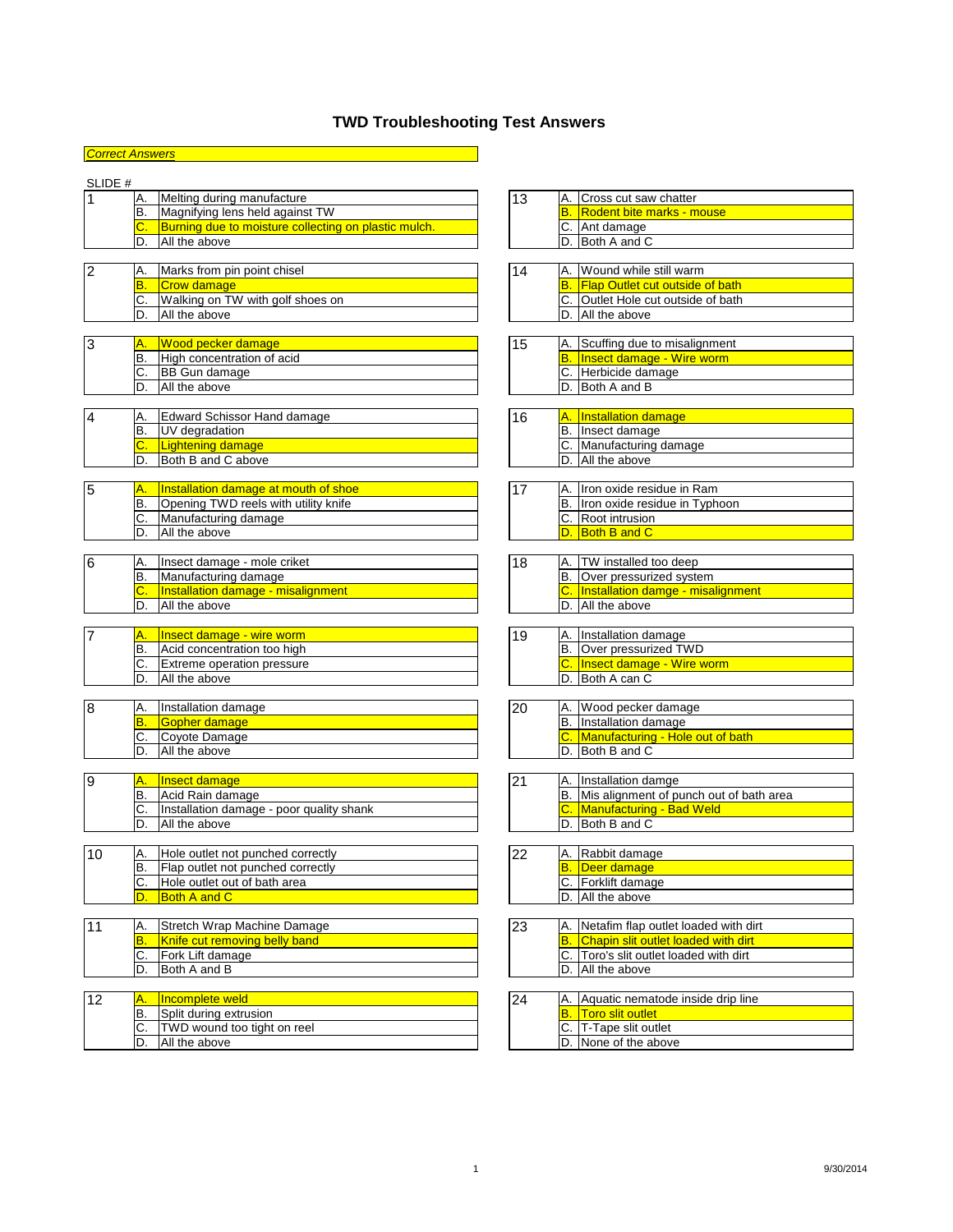*Correct Answers*

## SLIDE #

|     | Melting during manufacture                           | 13 | IA. | Cross cut saw chatter            |
|-----|------------------------------------------------------|----|-----|----------------------------------|
| IB. | Magnifying lens held against TW                      |    | IB. | <b>Rodent bite marks - mouse</b> |
| C.  | Burning due to moisture collecting on plastic mulch. |    |     | <b>Ant damage</b>                |
| D   | All the above                                        |    |     | Both A and C                     |

| ∠ | Α.          | IMarks from pin point chisel     |  |        | Wound while still warm                 |
|---|-------------|----------------------------------|--|--------|----------------------------------------|
|   | B           | Crow damage                      |  | B      | <b>Flap Outlet cut outside of bath</b> |
|   | $\sim$<br>ັ | Walking on TW with golf shoes on |  | $\sim$ | Outlet Hole cut outside of bath        |
|   | D.          | All the above                    |  | ID     | All the above                          |

| 3 | IA.    | <u><b>1Wood pecker damage</b></u> | 15 | IA. | . Scuffing due to misalignment   |
|---|--------|-----------------------------------|----|-----|----------------------------------|
|   | B      | High concentration of acid        |    |     | <b>Insect damage - Wire worm</b> |
|   | ◡      | <b>BB Gun damage</b>              |    | IC. | Herbicide damage                 |
|   | −<br>υ | All the above                     |    | 'D. | <b>Both A and B</b>              |

|                  | Edward Schissor Hand damage | 16 | A.  | <b>Installation damage</b> |
|------------------|-----------------------------|----|-----|----------------------------|
| B                | <b>IUV</b> degradation      |    | 'B. | Insect damage              |
| $\sqrt{ }$<br>v. | Lightening damage           |    |     | Manufacturing damage       |
|                  | Both B and C above          |    |     | All the above              |

| 15 |    | <b>Installation damage at mouth of shoe</b> |  | Ilron oxide residue in Ram    |
|----|----|---------------------------------------------|--|-------------------------------|
|    | IВ | Opening TWD reels with utility knife        |  | lron oxide residue in Typhoon |
|    | v. | IManufacturing damage                       |  | Root intrusion                |
|    | D  | All the above                               |  | <b>Both B and C</b>           |

| 6 | IA. | IInsect damage - mole criket              | 18 | IA. | <b>TW</b> installed too deep             |
|---|-----|-------------------------------------------|----|-----|------------------------------------------|
|   | IВ  | Manufacturing damage                      |    |     | TOver pressurized system                 |
|   | ັ   | <b>Installation damage - misalignment</b> |    |     | <b>Installation damge - misalignment</b> |
|   | D   | All the above                             |    | ID. | All the above                            |

| $\overline{\phantom{0}}$ |         | <b>Insect damage - wire worm</b> | '19 | IA. | Installation damage         |
|--------------------------|---------|----------------------------------|-----|-----|-----------------------------|
|                          | D.      | Acid concentration too high      |     | B   | <b>Over pressurized TWD</b> |
|                          | ⌒<br>J. | Extreme operation pressure       |     |     | Insect damage - Wire worm   |
|                          | υ.      | All the above                    |     |     | <b>Both A can C</b>         |

| 8 | IA.                     | Installation damage | 20 | Wood pecker damage                      |
|---|-------------------------|---------------------|----|-----------------------------------------|
|   | $\overline{\mathsf{B}}$ | Gopher damage       |    | Installation damage                     |
|   | $\cap$<br>U.            | Coyote Damage       |    | <b>Manufacturing - Hole out of bath</b> |
|   | D.                      | All the above       |    | Both B and C                            |

| 9 | Α.  | nsect damage                             | n. | IA. | Installation damge                      |
|---|-----|------------------------------------------|----|-----|-----------------------------------------|
|   | lB. | Acid Rain damage                         |    | 1B  | Mis alignment of punch out of bath area |
|   | U.  | Installation damage - poor quality shank |    | IC. | <b>IManufacturing - Bad Weld</b>        |
|   | ، ب | All the above                            |    |     | <b>Both B and C</b>                     |

| l10 | Hole outlet not punched correctly        | 22 | Rabbit damage          |
|-----|------------------------------------------|----|------------------------|
|     | <b>Flap outlet not punched correctly</b> |    | <u>IDeer damage</u>    |
|     | Hole outlet out of bath area             |    | <b>Forklift damage</b> |
|     | <b>Both A and C</b>                      |    | All the above          |

| $\ddot{\phantom{1}}$ | IA. | Stretch Wrap Machine Damage          | 23 |     | Netafim flap outlet loaded with dirt       |
|----------------------|-----|--------------------------------------|----|-----|--------------------------------------------|
|                      | B   | <b>Knife cut removing belly band</b> |    |     | <b>Chapin slit outlet loaded with dirt</b> |
|                      | IC. | <b>IFork Lift damage</b>             |    |     | Toro's slit outlet loaded with dirt        |
|                      | ١D  | IBoth A and B                        |    | 'D. | All the above                              |

| 1 つ |              | Incomplete weld                    | '24 | IA. | Aquatic nematode inside drip line |
|-----|--------------|------------------------------------|-----|-----|-----------------------------------|
|     | ΙB           | Split during extrusion             |     |     | <b>Toro slit outlet</b>           |
|     | $\sim$<br>v. | <b>TWD wound too tight on reel</b> |     |     | T-Tape slit outlet                |
|     | D.           | All the above                      |     |     | None of the above                 |

## **TWD Troubleshooting Test Answers**

|  | A. Installation damage       |
|--|------------------------------|
|  | B. Over pressurized TWD      |
|  | C. Insect damage - Wire worm |
|  | D. Both A can C              |

| <u> 20</u> | A. Wood pecker damage               |
|------------|-------------------------------------|
|            | B. Installation damage              |
|            | C. Manufacturing - Hole out of bath |
|            | D. Both B and C                     |

| 2 <sup>1</sup> | A. Installation damge                      |
|----------------|--------------------------------------------|
|                | B. Mis alignment of punch out of bath area |
|                | <b>C.</b> Manufacturing - Bad Weld         |
|                | <b>ID.</b> IBoth B and C                   |

| 13 | Cross cut saw chatter            |
|----|----------------------------------|
|    | <b>Rodent bite marks - mouse</b> |
|    | C. Ant damage                    |
|    | Both A and C                     |

| 14 | A. Wound while still warm                 |
|----|-------------------------------------------|
|    | <b>B.</b> Flap Outlet cut outside of bath |
|    | C. Outlet Hole cut outside of bath        |
|    | D. All the above                          |

| <u> 15</u> | A. Scuffing due to misalignment     |
|------------|-------------------------------------|
|            | <b>B.</b> Insect damage - Wire worm |
|            | C. Herbicide damage                 |
|            | D. Both A and B                     |

|  | A. Installation damage  |
|--|-------------------------|
|  | B. Insect damage        |
|  | C. Manufacturing damage |
|  | D. All the above        |

| 147 | IA. Ilron oxide residue in Ram   |
|-----|----------------------------------|
|     | B. Iron oxide residue in Typhoon |
|     | C. Root intrusion                |
|     | D. Both B and C                  |

| 11 0 | <b>TW</b> installed too deep         |
|------|--------------------------------------|
|      | B. Over pressurized system           |
|      | C. Installation damge - misalignment |
|      | D. All the above                     |

|  | A. Rabbit damage   |
|--|--------------------|
|  | Deer damage        |
|  | C. Forklift damage |
|  | D. All the above   |

| 23 | IA.   Netafim flap outlet loaded with dirt    |
|----|-----------------------------------------------|
|    | <b>B.</b> Chapin slit outlet loaded with dirt |
|    | C. Toro's slit outlet loaded with dirt        |
|    | D. All the above                              |

|  | A. Aquatic nematode inside drip line |
|--|--------------------------------------|
|  | <b>Toro slit outlet</b>              |
|  | C. T-Tape slit outlet                |
|  | D. None of the above                 |